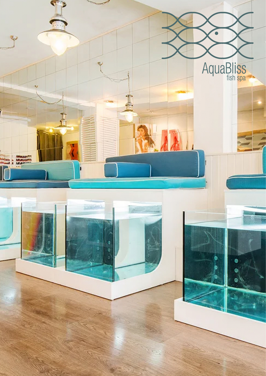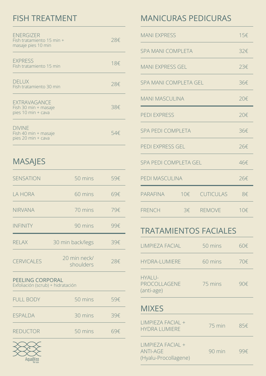## FISH TREATMENT

| <b>ENERGIZER</b><br>Fish tratamiento 15 min +<br>masaje pies 10 min | 28€ |
|---------------------------------------------------------------------|-----|
| <b>EXPRESS</b><br>Fish tratamiento 15 min                           | 18€ |
| <b>DELUX</b><br>Fish tratamiento 30 min                             | 28€ |
| <b>EXTRAVAGANCE</b><br>Fish 30 min + masaje<br>pies 10 min + cava   | 38€ |
| <b>DIVINE</b><br>Fish 40 min + masaje<br>pies 20 min + cava         | 54€ |

## MASAJES

| <b>SENSATION</b>                                      | 50 mins                   | 59€ |  |
|-------------------------------------------------------|---------------------------|-----|--|
| LA HORA                                               | 60 mins                   | 69€ |  |
| <b>NIRVANA</b>                                        | 70 mins                   | 79€ |  |
| <b>INFINITY</b>                                       | 90 mins                   | 99€ |  |
| <b>RELAX</b>                                          | 30 min back/legs          | 39€ |  |
| <b>CERVICALES</b>                                     | 20 min neck/<br>shoulders | 28€ |  |
| PEELING CORPORAL<br>Exfoliación (scrub) + hidratación |                           |     |  |

| <b>FULL BODY</b> | 50 mins | 59€ |
|------------------|---------|-----|
| <b>ESPALDA</b>   | 30 mins | 39€ |
| <b>REDUCTOR</b>  | 50 mins | 69€ |



## MANICURAS PEDICURAS

| <b>MANI EXPRESS</b>      |  | 15€           |     |
|--------------------------|--|---------------|-----|
| <b>SPA MANI COMPLETA</b> |  |               | 32€ |
| <b>MANI EXPRESS GEL</b>  |  | 23€           |     |
| SPA MANI COMPLETA GEL    |  | 36€           |     |
| <b>MANI MASCULINA</b>    |  | 20€           |     |
| <b>PEDI EXPRESS</b>      |  | 20€           |     |
| <b>SPA PEDI COMPLETA</b> |  | 36€           |     |
| PEDI EXPRESS GEL         |  | 26f           |     |
| SPA PEDI COMPLETA GEL    |  | 46€           |     |
| PEDI MASCULINA           |  | 26€           |     |
| PARAFINA                 |  | 10€ CUTICULAS | 8€  |
| <b>FRENCH</b>            |  | 3€ REMOVE     | 10€ |

## TRATAMIENTOS FACIALES

| LIMPIEZA FACIAL                                              | 50 mins | 60€ |
|--------------------------------------------------------------|---------|-----|
| <b>HYDRA-LUMIERE</b>                                         | 60 mins | 70€ |
| <b>HYALU-</b><br>PROCOLLAGENE<br>(anti-age)                  | 75 mins | 90€ |
| <b>MIXES</b>                                                 |         |     |
| LIMPIEZA FACIAL +<br><b>HYDRA LUMIERE</b>                    | 75 min  | 85€ |
| LIMPIEZA FACIAL +<br><b>ANTI-AGE</b><br>(Hyalu-Procollagene) | 90 min  | 99€ |